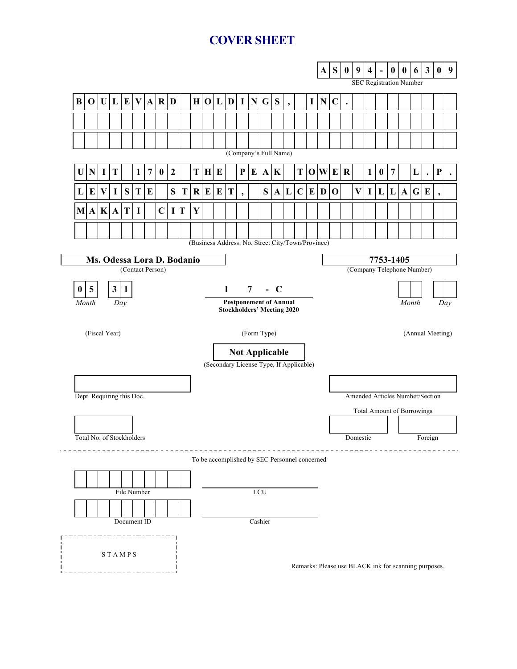# **COVER SHEET**

|                                                                                                    |                                                                  |              |                |              |              |                |                  |                  |   |         |                                               |                                                      |              |                          | A              | S       | $\bf{0}$  | 9                        | 4           | <b>SEC Registration Number</b> | $\bf{0}$                 | $\bf{0}$    | 6                                 | $\mathbf{3}$     | $\mathbf{0}$                            | $\boldsymbol{9}$ |                |             |   |           |                          |  |  |  |  |  |
|----------------------------------------------------------------------------------------------------|------------------------------------------------------------------|--------------|----------------|--------------|--------------|----------------|------------------|------------------|---|---------|-----------------------------------------------|------------------------------------------------------|--------------|--------------------------|----------------|---------|-----------|--------------------------|-------------|--------------------------------|--------------------------|-------------|-----------------------------------|------------------|-----------------------------------------|------------------|----------------|-------------|---|-----------|--------------------------|--|--|--|--|--|
| $\bf{B}$                                                                                           | 0                                                                |              |                | U L E        | V            |                | $A$ $R$ $D$      |                  |   |         | H O L D I N G S                               |                                                      |              |                          |                |         |           | $\overline{\phantom{a}}$ |             | $\mathbf I$                    | $\mathbf N$              | $\mathbf C$ | $\ddot{\phantom{0}}$              |                  |                                         |                  |                |             |   |           |                          |  |  |  |  |  |
|                                                                                                    |                                                                  |              |                |              |              |                |                  |                  |   |         |                                               |                                                      |              |                          |                |         |           |                          |             |                                |                          |             |                                   |                  |                                         |                  |                |             |   |           |                          |  |  |  |  |  |
|                                                                                                    |                                                                  |              |                |              |              |                |                  |                  |   |         |                                               |                                                      |              |                          |                |         |           |                          |             |                                |                          |             |                                   |                  |                                         |                  |                |             |   |           |                          |  |  |  |  |  |
| (Company's Full Name)                                                                              |                                                                  |              |                |              |              |                |                  |                  |   |         |                                               |                                                      |              |                          |                |         |           |                          |             |                                |                          |             |                                   |                  |                                         |                  |                |             |   |           |                          |  |  |  |  |  |
| U                                                                                                  | N                                                                | I            | T              |              | $\mathbf{1}$ | $\overline{7}$ | $\boldsymbol{0}$ | $\boldsymbol{2}$ |   | T       | H                                             | E                                                    |              | ${\bf P}$                | E              |         | $A$ $K$   |                          | T           |                                | $\mathbf{O} \mathbf{W} $ | E           | $\bf R$                           |                  | $\mathbf{1}$                            | $\boldsymbol{0}$ | $\overline{7}$ |             | L | $\bullet$ | ${\bf P}$                |  |  |  |  |  |
| L                                                                                                  | $\bf{E}$                                                         | $\mathbf{V}$ | $\bf{I}$       | S            | T            | E              |                  | ${\bf S}$        | T | $\bf R$ | E                                             | E                                                    | T            | $\overline{\phantom{a}}$ |                | S       | ${\bf A}$ | L                        | $\mathbf C$ | E                              | D                        | $\mathbf 0$ |                                   | $\mathbf{V}$     | $\bf{I}$                                | L                | L              | $\mathbf A$ | G | E         | $\overline{\phantom{a}}$ |  |  |  |  |  |
|                                                                                                    | M A                                                              | K            | $\mathbf A$    | T            | $\mathbf I$  |                | $\mathbf C$      | $\mathbf I$      | T | Y       |                                               |                                                      |              |                          |                |         |           |                          |             |                                |                          |             |                                   |                  |                                         |                  |                |             |   |           |                          |  |  |  |  |  |
|                                                                                                    |                                                                  |              |                |              |              |                |                  |                  |   |         |                                               |                                                      |              |                          |                |         |           |                          |             |                                |                          |             |                                   |                  |                                         |                  |                |             |   |           |                          |  |  |  |  |  |
| (Business Address: No. Street City/Town/Province)                                                  |                                                                  |              |                |              |              |                |                  |                  |   |         |                                               |                                                      |              |                          |                |         |           |                          |             |                                |                          |             |                                   |                  |                                         |                  |                |             |   |           |                          |  |  |  |  |  |
|                                                                                                    | Ms. Odessa Lora D. Bodanio                                       |              |                |              |              |                |                  |                  |   |         |                                               |                                                      |              |                          |                |         |           |                          |             |                                |                          |             |                                   |                  | 7753-1405<br>(Company Telephone Number) |                  |                |             |   |           |                          |  |  |  |  |  |
|                                                                                                    | (Contact Person)                                                 |              |                |              |              |                |                  |                  |   |         |                                               |                                                      |              |                          |                |         |           |                          |             |                                |                          |             |                                   |                  |                                         |                  |                |             |   |           |                          |  |  |  |  |  |
| $\bf{0}$                                                                                           | 5                                                                |              | 3 <sup>1</sup> | $\mathbf{1}$ |              |                |                  |                  |   |         |                                               |                                                      | $\mathbf{1}$ |                          | $\overline{7}$ |         | $-C$      |                          |             |                                |                          |             |                                   |                  |                                         |                  |                |             |   |           |                          |  |  |  |  |  |
| <b>Postponement of Annual</b><br>Month<br>Month<br>Day<br>Day<br><b>Stockholders' Meeting 2020</b> |                                                                  |              |                |              |              |                |                  |                  |   |         |                                               |                                                      |              |                          |                |         |           |                          |             |                                |                          |             |                                   |                  |                                         |                  |                |             |   |           |                          |  |  |  |  |  |
|                                                                                                    | (Fiscal Year)                                                    |              |                |              |              |                |                  |                  |   |         |                                               | (Form Type)                                          |              |                          |                |         |           |                          |             |                                |                          |             |                                   | (Annual Meeting) |                                         |                  |                |             |   |           |                          |  |  |  |  |  |
|                                                                                                    |                                                                  |              |                |              |              |                |                  |                  |   |         |                                               |                                                      |              |                          |                |         |           |                          |             |                                |                          |             |                                   |                  |                                         |                  |                |             |   |           |                          |  |  |  |  |  |
|                                                                                                    | <b>Not Applicable</b><br>(Secondary License Type, If Applicable) |              |                |              |              |                |                  |                  |   |         |                                               |                                                      |              |                          |                |         |           |                          |             |                                |                          |             |                                   |                  |                                         |                  |                |             |   |           |                          |  |  |  |  |  |
|                                                                                                    |                                                                  |              |                |              |              |                |                  |                  |   |         |                                               |                                                      |              |                          |                |         |           |                          |             |                                |                          |             |                                   |                  |                                         |                  |                |             |   |           |                          |  |  |  |  |  |
|                                                                                                    | Dept. Requiring this Doc.                                        |              |                |              |              |                |                  |                  |   |         |                                               |                                                      |              |                          |                |         |           |                          |             |                                |                          |             | Amended Articles Number/Section   |                  |                                         |                  |                |             |   |           |                          |  |  |  |  |  |
|                                                                                                    |                                                                  |              |                |              |              |                |                  |                  |   |         |                                               |                                                      |              |                          |                |         |           |                          |             |                                |                          |             | <b>Total Amount of Borrowings</b> |                  |                                         |                  |                |             |   |           |                          |  |  |  |  |  |
|                                                                                                    |                                                                  |              |                |              |              |                |                  |                  |   |         |                                               |                                                      |              |                          |                |         |           |                          |             |                                |                          |             |                                   |                  |                                         |                  |                |             |   |           |                          |  |  |  |  |  |
|                                                                                                    | Total No. of Stockholders                                        |              |                |              |              |                |                  |                  |   |         |                                               |                                                      |              |                          |                |         |           |                          |             |                                |                          | Domestic    |                                   |                  |                                         |                  |                | Foreign     |   |           |                          |  |  |  |  |  |
|                                                                                                    |                                                                  |              |                |              |              |                |                  |                  |   |         | To be accomplished by SEC Personnel concerned |                                                      |              |                          |                |         |           |                          |             |                                |                          |             |                                   |                  |                                         |                  |                |             |   |           |                          |  |  |  |  |  |
|                                                                                                    |                                                                  |              |                |              |              |                |                  |                  |   |         |                                               |                                                      |              |                          |                |         |           |                          |             |                                |                          |             |                                   |                  |                                         |                  |                |             |   |           |                          |  |  |  |  |  |
|                                                                                                    |                                                                  | LCU          |                |              |              |                |                  |                  |   |         |                                               |                                                      |              |                          |                |         |           |                          |             |                                |                          |             |                                   |                  |                                         |                  |                |             |   |           |                          |  |  |  |  |  |
|                                                                                                    |                                                                  |              |                |              |              |                |                  |                  |   |         |                                               |                                                      |              |                          |                |         |           |                          |             |                                |                          |             |                                   |                  |                                         |                  |                |             |   |           |                          |  |  |  |  |  |
|                                                                                                    |                                                                  |              |                | Document ID  |              |                |                  |                  |   |         |                                               |                                                      |              |                          |                | Cashier |           |                          |             |                                |                          |             |                                   |                  |                                         |                  |                |             |   |           |                          |  |  |  |  |  |
|                                                                                                    |                                                                  |              |                |              |              |                |                  |                  |   |         |                                               |                                                      |              |                          |                |         |           |                          |             |                                |                          |             |                                   |                  |                                         |                  |                |             |   |           |                          |  |  |  |  |  |
|                                                                                                    |                                                                  |              |                | STAMPS       |              |                |                  |                  |   |         |                                               |                                                      |              |                          |                |         |           |                          |             |                                |                          |             |                                   |                  |                                         |                  |                |             |   |           |                          |  |  |  |  |  |
|                                                                                                    |                                                                  |              |                |              |              |                |                  |                  |   |         |                                               | Remarks: Please use BLACK ink for scanning purposes. |              |                          |                |         |           |                          |             |                                |                          |             |                                   |                  |                                         |                  |                |             |   |           |                          |  |  |  |  |  |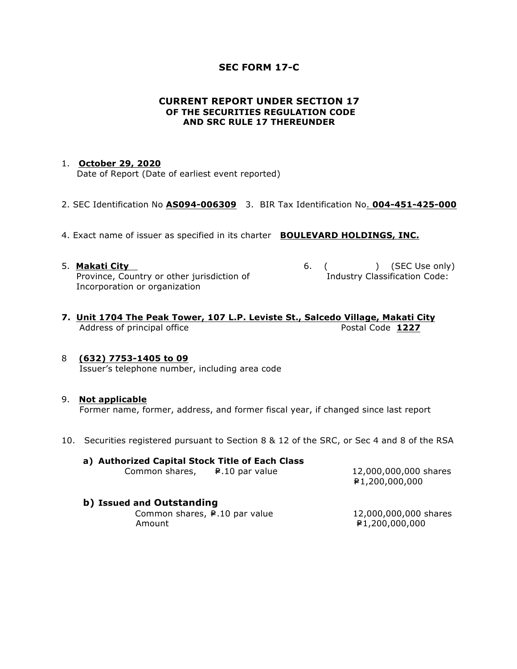## **SEC FORM 17-C**

## **CURRENT REPORT UNDER SECTION 17 OF THE SECURITIES REGULATION CODE AND SRC RULE 17 THEREUNDER**

### 1. **October 29, 2020**

Date of Report (Date of earliest event reported)

- 2. SEC Identification No **AS094-006309** 3. BIR Tax Identification No. **004-451-425-000**
- 4. Exact name of issuer as specified in its charter **BOULEVARD HOLDINGS, INC.**
- 5. **Makati City 6.** ( ) (SEC Use only) Province, Country or other jurisdiction of The Industry Classification Code: Incorporation or organization
- 
- **7. Unit 1704 The Peak Tower, 107 L.P. Leviste St., Salcedo Village, Makati City** Address of principal office **Postal Code 1227**

## 8 **(632) 7753-1405 to 09**

Issuer's telephone number, including area code

#### 9. **Not applicable**

Former name, former, address, and former fiscal year, if changed since last report

10. Securities registered pursuant to Section 8 & 12 of the SRC, or Sec 4 and 8 of the RSA

#### **a) Authorized Capital Stock Title of Each Class**  Common shares,  $\qquad \qquad \bullet$  .10 par value 12,000,000,000 shares

=P1,200,000,000

## **b) Issued and Outstanding**

Common shares,  $\neq$  10 par value 12,000,000,000 shares Amount **E1,200,000,000**